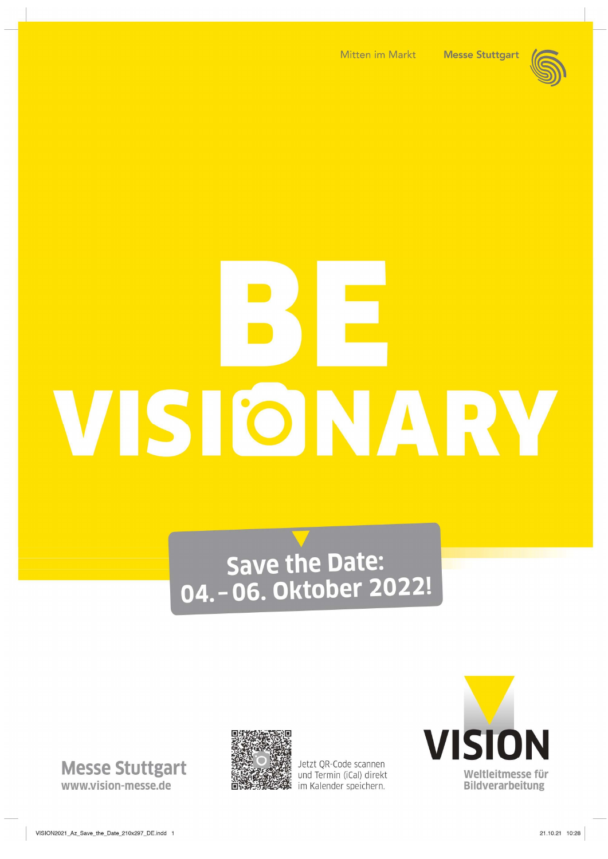



# VISIONARV

# Save the Date:<br>04. - 06. Oktober 2022!

**Messe Stuttgart** www.vision-messe.de



Jetzt QR-Code scannen und Termin (iCal) direkt im Kalender speichern.

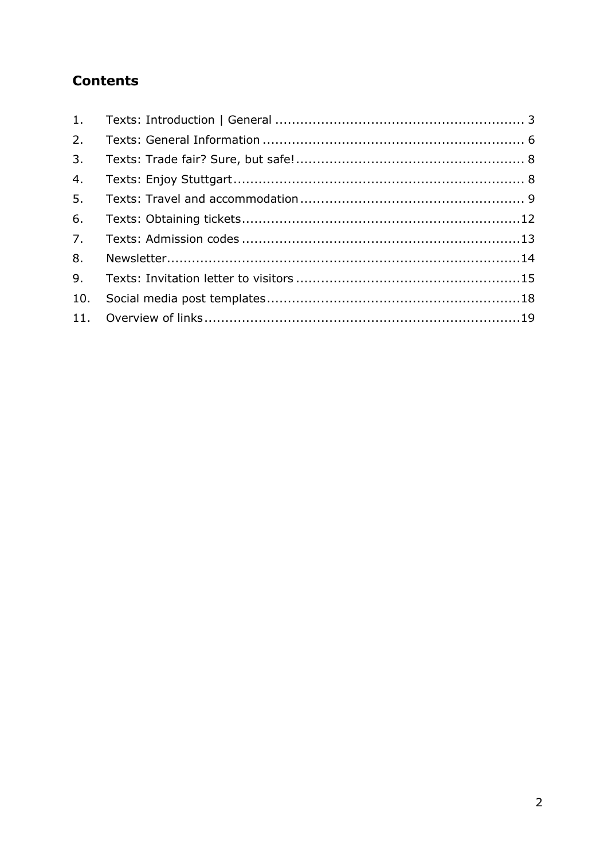# Contents

| 1.  |  |
|-----|--|
| 2.  |  |
| 3.  |  |
| 4.  |  |
| 5.  |  |
| 6.  |  |
| 7.  |  |
| 8.  |  |
| 9.  |  |
| 10. |  |
|     |  |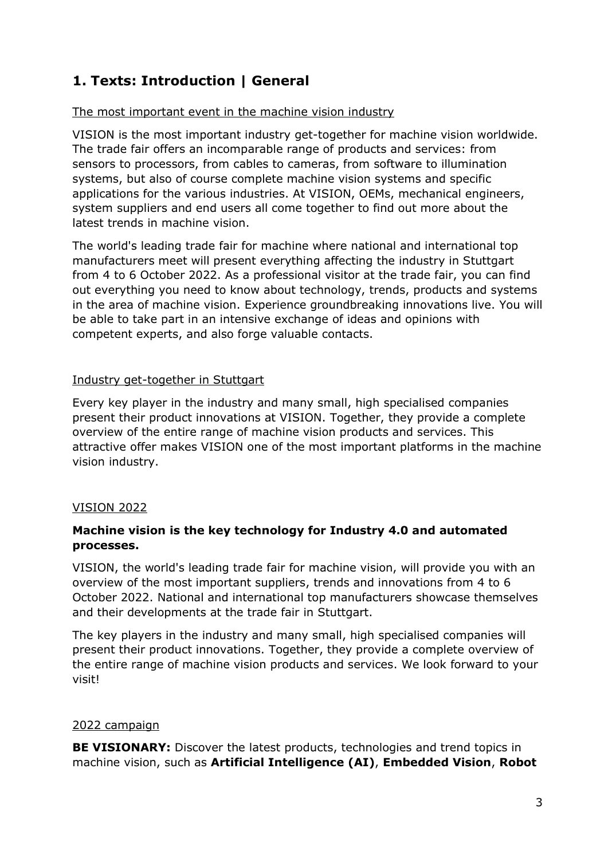# 1. Texts: Introduction | General

# The most important event in the machine vision industry

VISION is the most important industry get-together for machine vision worldwide. The trade fair offers an incomparable range of products and services: from sensors to processors, from cables to cameras, from software to illumination systems, but also of course complete machine vision systems and specific applications for the various industries. At VISION, OEMs, mechanical engineers, system suppliers and end users all come together to find out more about the latest trends in machine vision.

The world's leading trade fair for machine where national and international top manufacturers meet will present everything affecting the industry in Stuttgart from 4 to 6 October 2022. As a professional visitor at the trade fair, you can find out everything you need to know about technology, trends, products and systems in the area of machine vision. Experience groundbreaking innovations live. You will be able to take part in an intensive exchange of ideas and opinions with competent experts, and also forge valuable contacts.

# Industry get-together in Stuttgart

Every key player in the industry and many small, high specialised companies present their product innovations at VISION. Together, they provide a complete overview of the entire range of machine vision products and services. This attractive offer makes VISION one of the most important platforms in the machine vision industry.

# VISION 2022

# Machine vision is the key technology for Industry 4.0 and automated processes.

VISION, the world's leading trade fair for machine vision, will provide you with an overview of the most important suppliers, trends and innovations from 4 to 6 October 2022. National and international top manufacturers showcase themselves and their developments at the trade fair in Stuttgart.

The key players in the industry and many small, high specialised companies will present their product innovations. Together, they provide a complete overview of the entire range of machine vision products and services. We look forward to your visit!

# 2022 campaign

BE VISIONARY: Discover the latest products, technologies and trend topics in machine vision, such as Artificial Intelligence (AI), Embedded Vision, Robot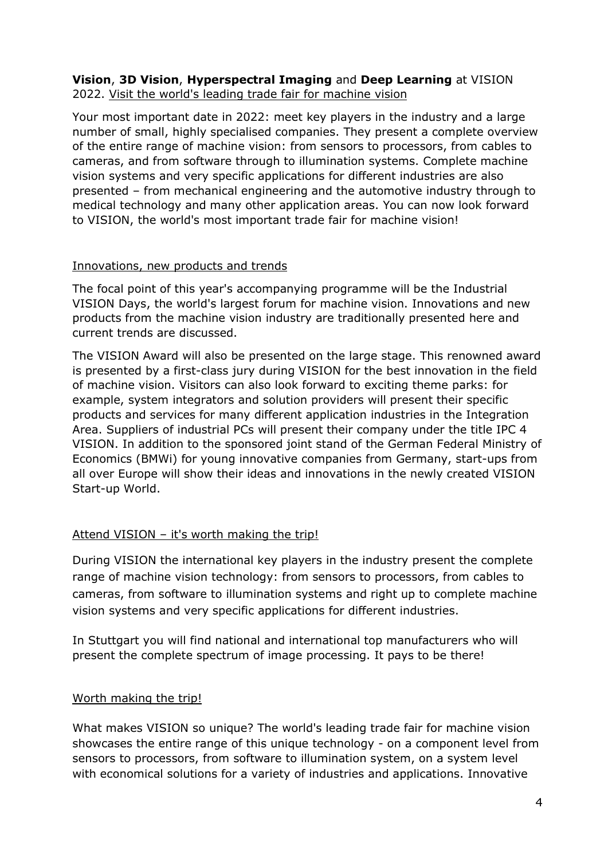# Vision, 3D Vision, Hyperspectral Imaging and Deep Learning at VISION 2022. Visit the world's leading trade fair for machine vision

Your most important date in 2022: meet key players in the industry and a large number of small, highly specialised companies. They present a complete overview of the entire range of machine vision: from sensors to processors, from cables to cameras, and from software through to illumination systems. Complete machine vision systems and very specific applications for different industries are also presented – from mechanical engineering and the automotive industry through to medical technology and many other application areas. You can now look forward to VISION, the world's most important trade fair for machine vision!

# Innovations, new products and trends

The focal point of this year's accompanying programme will be the Industrial VISION Days, the world's largest forum for machine vision. Innovations and new products from the machine vision industry are traditionally presented here and current trends are discussed.

The VISION Award will also be presented on the large stage. This renowned award is presented by a first-class jury during VISION for the best innovation in the field of machine vision. Visitors can also look forward to exciting theme parks: for example, system integrators and solution providers will present their specific products and services for many different application industries in the Integration Area. Suppliers of industrial PCs will present their company under the title IPC 4 VISION. In addition to the sponsored joint stand of the German Federal Ministry of Economics (BMWi) for young innovative companies from Germany, start-ups from all over Europe will show their ideas and innovations in the newly created VISION Start-up World.

# Attend VISION – it's worth making the trip!

During VISION the international key players in the industry present the complete range of machine vision technology: from sensors to processors, from cables to cameras, from software to illumination systems and right up to complete machine vision systems and very specific applications for different industries.

In Stuttgart you will find national and international top manufacturers who will present the complete spectrum of image processing. It pays to be there!

# Worth making the trip!

What makes VISION so unique? The world's leading trade fair for machine vision showcases the entire range of this unique technology - on a component level from sensors to processors, from software to illumination system, on a system level with economical solutions for a variety of industries and applications. Innovative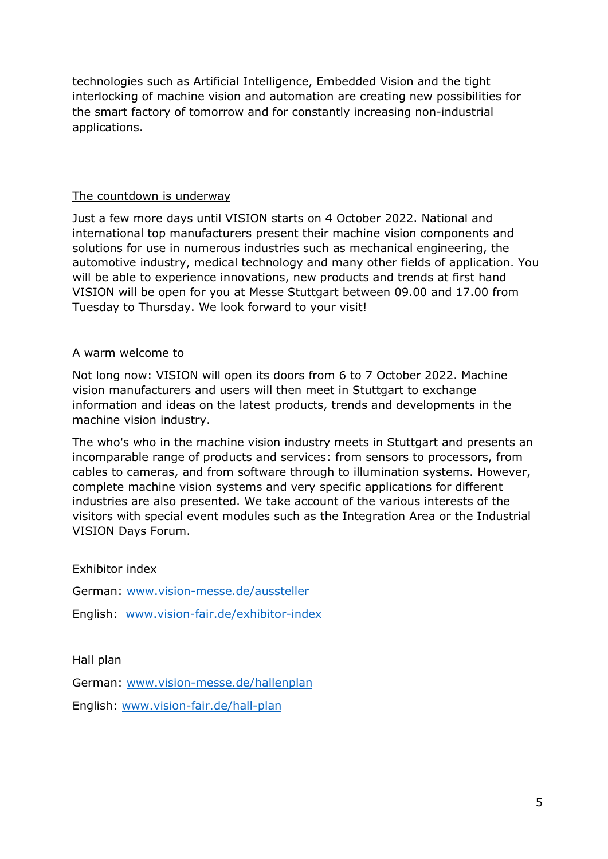technologies such as Artificial Intelligence, Embedded Vision and the tight interlocking of machine vision and automation are creating new possibilities for the smart factory of tomorrow and for constantly increasing non-industrial applications.

# The countdown is underway

Just a few more days until VISION starts on 4 October 2022. National and international top manufacturers present their machine vision components and solutions for use in numerous industries such as mechanical engineering, the automotive industry, medical technology and many other fields of application. You will be able to experience innovations, new products and trends at first hand VISION will be open for you at Messe Stuttgart between 09.00 and 17.00 from Tuesday to Thursday. We look forward to your visit!

# A warm welcome to

Not long now: VISION will open its doors from 6 to 7 October 2022. Machine vision manufacturers and users will then meet in Stuttgart to exchange information and ideas on the latest products, trends and developments in the machine vision industry.

The who's who in the machine vision industry meets in Stuttgart and presents an incomparable range of products and services: from sensors to processors, from cables to cameras, and from software through to illumination systems. However, complete machine vision systems and very specific applications for different industries are also presented. We take account of the various interests of the visitors with special event modules such as the Integration Area or the Industrial VISION Days Forum.

Exhibitor index

German: www.vision-messe.de/aussteller

English: www.vision-fair.de/exhibitor-index

Hall plan

German: www.vision-messe.de/hallenplan

English: www.vision-fair.de/hall-plan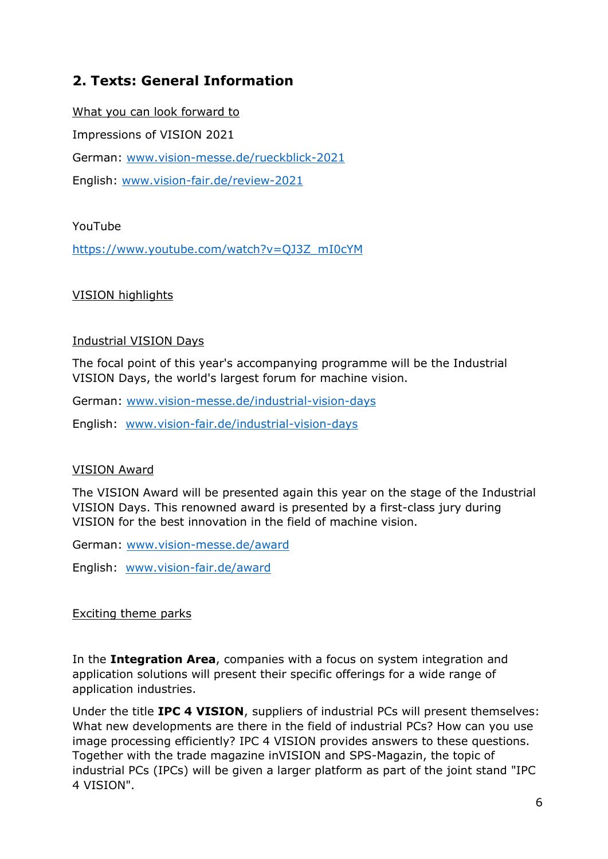# 2. Texts: General Information

What you can look forward to Impressions of VISION 2021 German: www.vision-messe.de/rueckblick-2021 English: www.vision-fair.de/review-2021

# YouTube

https://www.youtube.com/watch?v=QJ3Z\_mI0cYM

# VISION highlights

# Industrial VISION Days

The focal point of this year's accompanying programme will be the Industrial VISION Days, the world's largest forum for machine vision.

German: www.vision-messe.de/industrial-vision-days

English: www.vision-fair.de/industrial-vision-days

# VISION Award

The VISION Award will be presented again this year on the stage of the Industrial VISION Days. This renowned award is presented by a first-class jury during VISION for the best innovation in the field of machine vision.

German: www.vision-messe.de/award

English: www.vision-fair.de/award

# Exciting theme parks

In the Integration Area, companies with a focus on system integration and application solutions will present their specific offerings for a wide range of application industries.

Under the title IPC 4 VISION, suppliers of industrial PCs will present themselves: What new developments are there in the field of industrial PCs? How can you use image processing efficiently? IPC 4 VISION provides answers to these questions. Together with the trade magazine inVISION and SPS-Magazin, the topic of industrial PCs (IPCs) will be given a larger platform as part of the joint stand "IPC 4 VISION".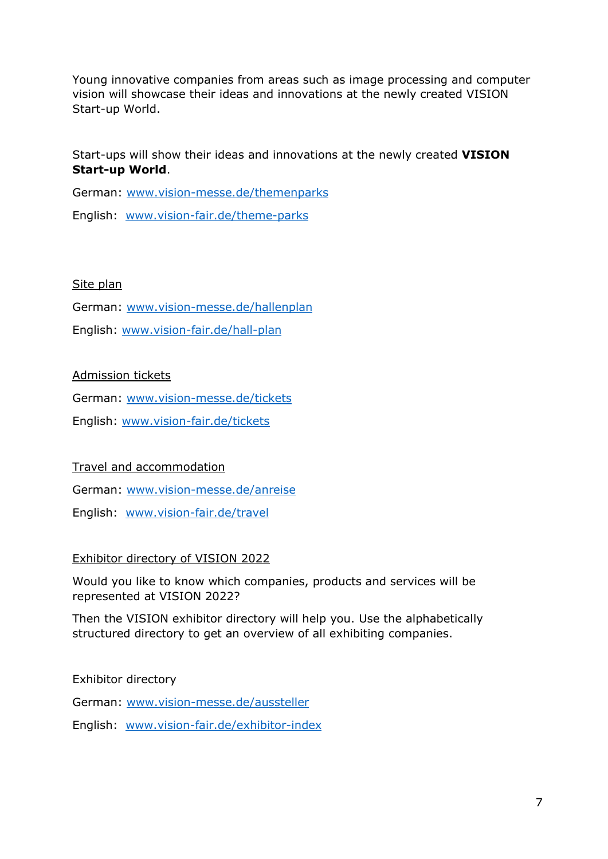Young innovative companies from areas such as image processing and computer vision will showcase their ideas and innovations at the newly created VISION Start-up World.

Start-ups will show their ideas and innovations at the newly created VISION Start-up World.

German: www.vision-messe.de/themenparks

English: www.vision-fair.de/theme-parks

# Site plan

German: www.vision-messe.de/hallenplan

English: www.vision-fair.de/hall-plan

# Admission tickets

German: www.vision-messe.de/tickets

English: www.vision-fair.de/tickets

Travel and accommodation

German: www.vision-messe.de/anreise

English: www.vision-fair.de/travel

# Exhibitor directory of VISION 2022

Would you like to know which companies, products and services will be represented at VISION 2022?

Then the VISION exhibitor directory will help you. Use the alphabetically structured directory to get an overview of all exhibiting companies.

Exhibitor directory

German: www.vision-messe.de/aussteller

English: www.vision-fair.de/exhibitor-index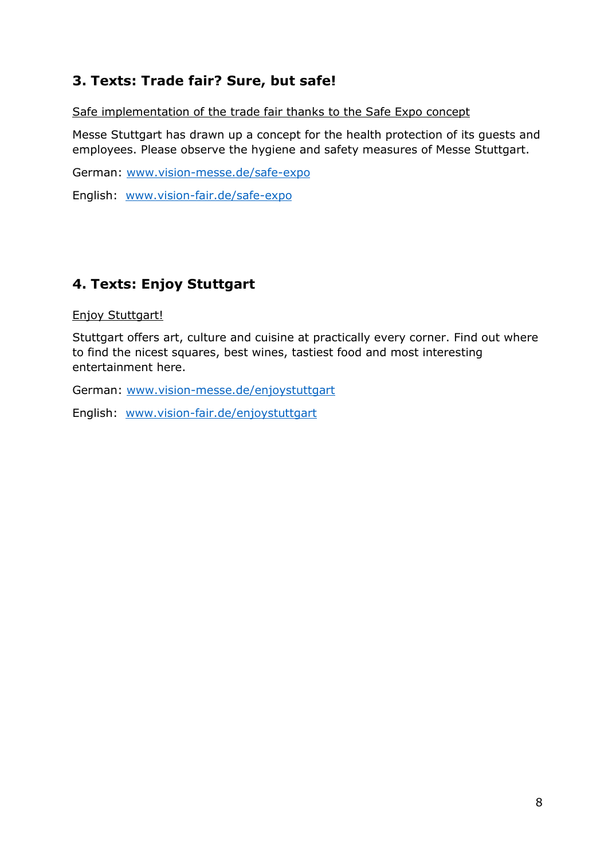# 3. Texts: Trade fair? Sure, but safe!

Safe implementation of the trade fair thanks to the Safe Expo concept

Messe Stuttgart has drawn up a concept for the health protection of its guests and employees. Please observe the hygiene and safety measures of Messe Stuttgart.

German: www.vision-messe.de/safe-expo

English: www.vision-fair.de/safe-expo

# 4. Texts: Enjoy Stuttgart

Enjoy Stuttgart!

Stuttgart offers art, culture and cuisine at practically every corner. Find out where to find the nicest squares, best wines, tastiest food and most interesting entertainment here.

German: www.vision-messe.de/enjoystuttgart

English: www.vision-fair.de/enjoystuttgart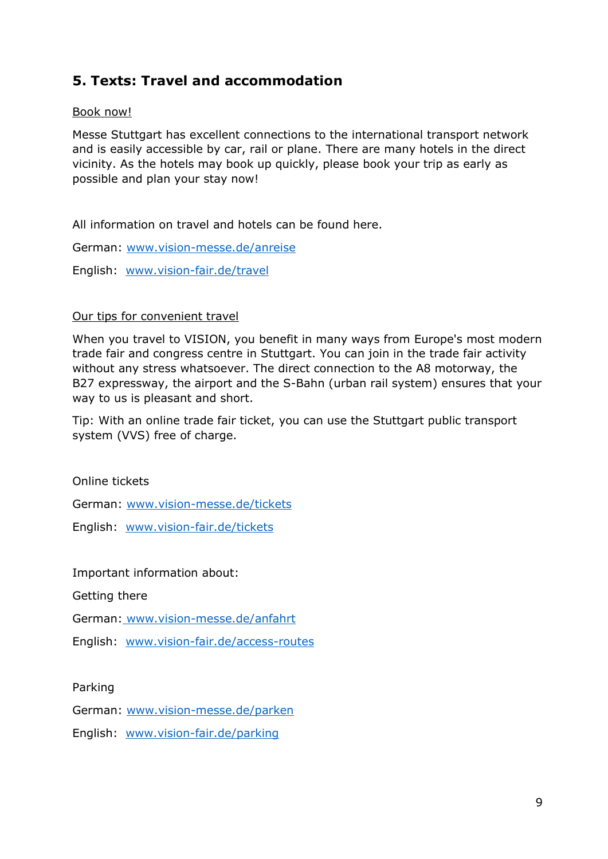# 5. Texts: Travel and accommodation

# Book now!

Messe Stuttgart has excellent connections to the international transport network and is easily accessible by car, rail or plane. There are many hotels in the direct vicinity. As the hotels may book up quickly, please book your trip as early as possible and plan your stay now!

All information on travel and hotels can be found here.

German: www.vision-messe.de/anreise

English: www.vision-fair.de/travel

#### Our tips for convenient travel

When you travel to VISION, you benefit in many ways from Europe's most modern trade fair and congress centre in Stuttgart. You can join in the trade fair activity without any stress whatsoever. The direct connection to the A8 motorway, the B27 expressway, the airport and the S-Bahn (urban rail system) ensures that your way to us is pleasant and short.

Tip: With an online trade fair ticket, you can use the Stuttgart public transport system (VVS) free of charge.

Online tickets

German: www.vision-messe.de/tickets

English: www.vision-fair.de/tickets

Important information about:

Getting there

German: www.vision-messe.de/anfahrt

English: www.vision-fair.de/access-routes

Parking

German: www.vision-messe.de/parken

English: www.vision-fair.de/parking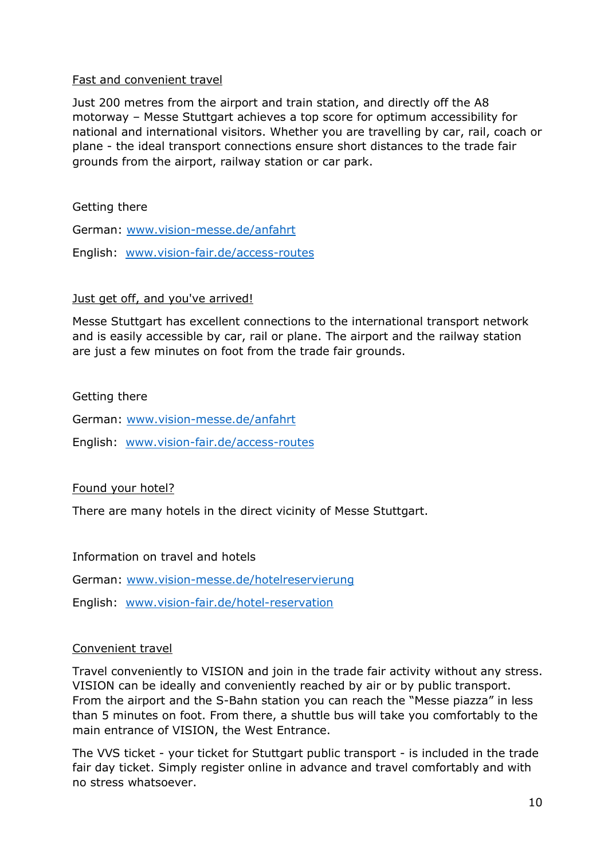# Fast and convenient travel

Just 200 metres from the airport and train station, and directly off the A8 motorway – Messe Stuttgart achieves a top score for optimum accessibility for national and international visitors. Whether you are travelling by car, rail, coach or plane - the ideal transport connections ensure short distances to the trade fair grounds from the airport, railway station or car park.

Getting there

German: www.vision-messe.de/anfahrt

English: www.vision-fair.de/access-routes

# Just get off, and you've arrived!

Messe Stuttgart has excellent connections to the international transport network and is easily accessible by car, rail or plane. The airport and the railway station are just a few minutes on foot from the trade fair grounds.

# Getting there

German: www.vision-messe.de/anfahrt

English: www.vision-fair.de/access-routes

# Found your hotel?

There are many hotels in the direct vicinity of Messe Stuttgart.

Information on travel and hotels

German: www.vision-messe.de/hotelreservierung

English: www.vision-fair.de/hotel-reservation

#### Convenient travel

Travel conveniently to VISION and join in the trade fair activity without any stress. VISION can be ideally and conveniently reached by air or by public transport. From the airport and the S-Bahn station you can reach the "Messe piazza" in less than 5 minutes on foot. From there, a shuttle bus will take you comfortably to the main entrance of VISION, the West Entrance.

The VVS ticket - your ticket for Stuttgart public transport - is included in the trade fair day ticket. Simply register online in advance and travel comfortably and with no stress whatsoever.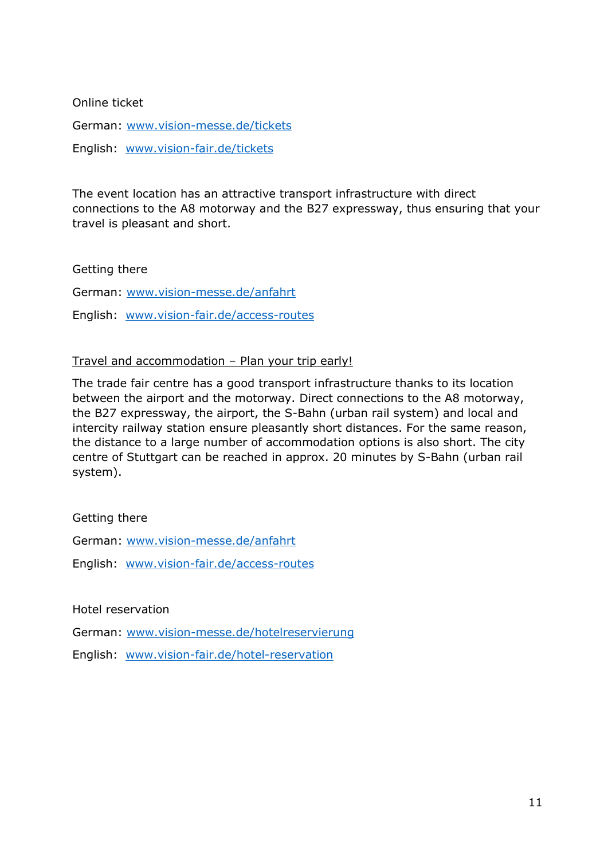Online ticket

German: www.vision-messe.de/tickets

English: www.vision-fair.de/tickets

The event location has an attractive transport infrastructure with direct connections to the A8 motorway and the B27 expressway, thus ensuring that your travel is pleasant and short.

Getting there

German: www.vision-messe.de/anfahrt

English: www.vision-fair.de/access-routes

#### Travel and accommodation – Plan your trip early!

The trade fair centre has a good transport infrastructure thanks to its location between the airport and the motorway. Direct connections to the A8 motorway, the B27 expressway, the airport, the S-Bahn (urban rail system) and local and intercity railway station ensure pleasantly short distances. For the same reason, the distance to a large number of accommodation options is also short. The city centre of Stuttgart can be reached in approx. 20 minutes by S-Bahn (urban rail system).

#### Getting there

German: www.vision-messe.de/anfahrt

English: www.vision-fair.de/access-routes

Hotel reservation

German: www.vision-messe.de/hotelreservierung

English: www.vision-fair.de/hotel-reservation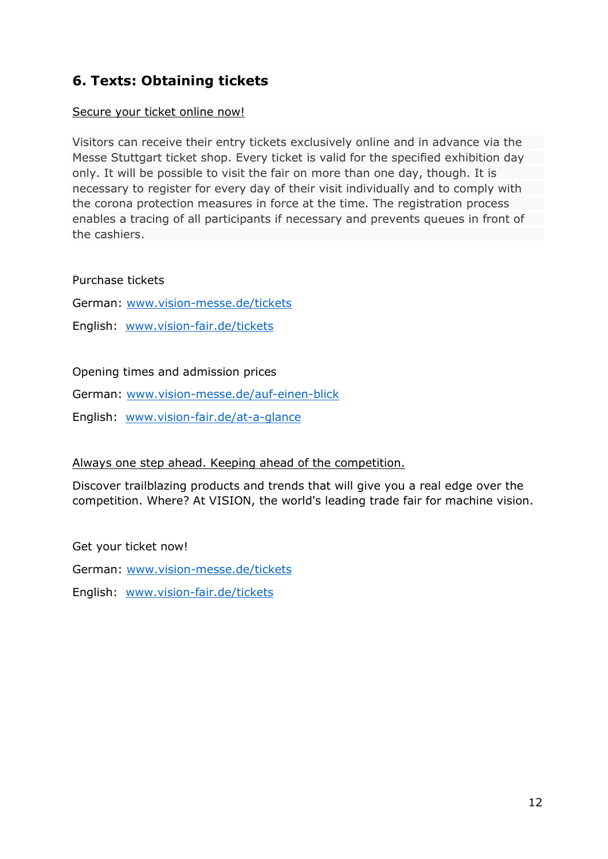# 6. Texts: Obtaining tickets

# Secure your ticket online now!

Visitors can receive their entry tickets exclusively online and in advance via the Messe Stuttgart ticket shop. Every ticket is valid for the specified exhibition day only. It will be possible to visit the fair on more than one day, though. It is necessary to register for every day of their visit individually and to comply with the corona protection measures in force at the time. The registration process enables a tracing of all participants if necessary and prevents queues in front of the cashiers.

Purchase tickets

German: www.vision-messe.de/tickets

English: www.vision-fair.de/tickets

Opening times and admission prices

German: www.vision-messe.de/auf-einen-blick

English: www.vision-fair.de/at-a-glance

# Always one step ahead. Keeping ahead of the competition.

Discover trailblazing products and trends that will give you a real edge over the competition. Where? At VISION, the world's leading trade fair for machine vision.

Get your ticket now!

German: www.vision-messe.de/tickets

English: www.vision-fair.de/tickets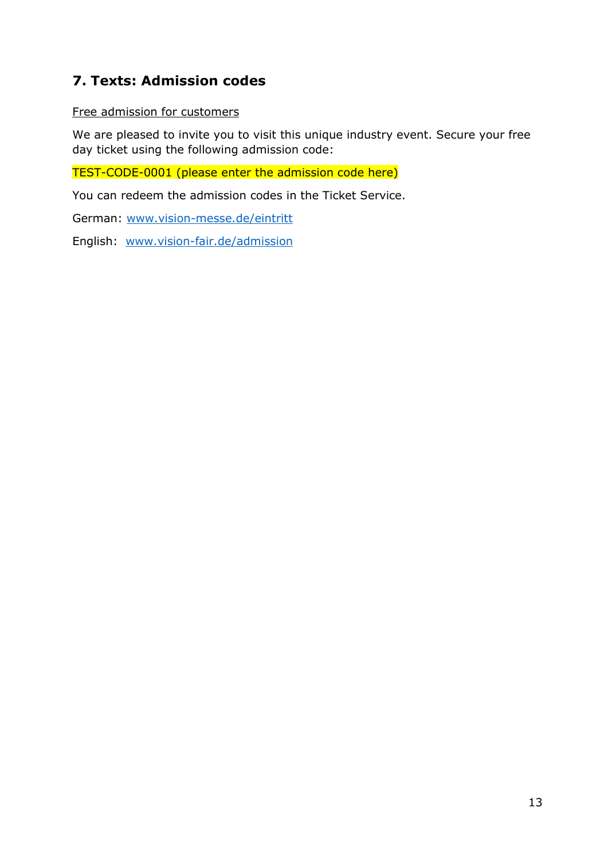# 7. Texts: Admission codes

# Free admission for customers

We are pleased to invite you to visit this unique industry event. Secure your free day ticket using the following admission code:

TEST-CODE-0001 (please enter the admission code here)

You can redeem the admission codes in the Ticket Service.

German: www.vision-messe.de/eintritt

English: www.vision-fair.de/admission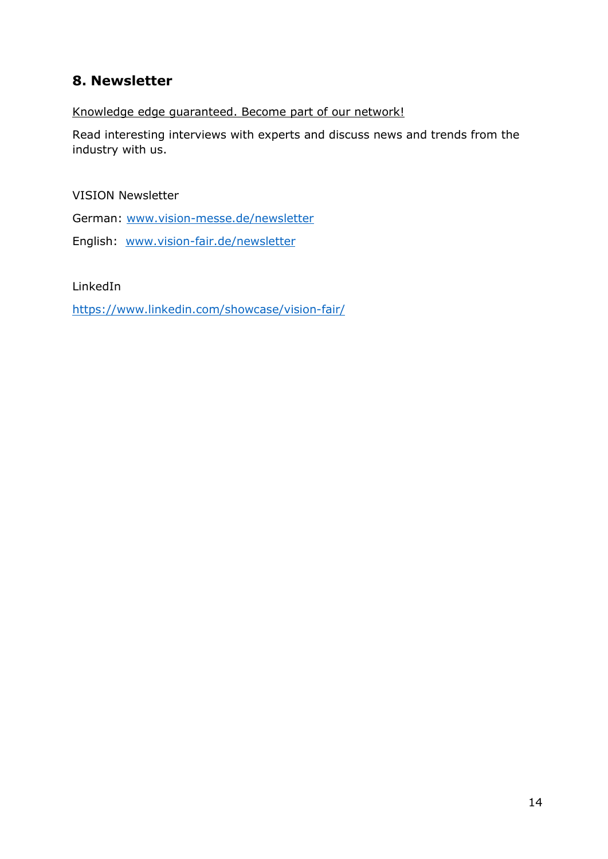# 8. Newsletter

Knowledge edge guaranteed. Become part of our network!

Read interesting interviews with experts and discuss news and trends from the industry with us.

VISION Newsletter

German: www.vision-messe.de/newsletter

English: www.vision-fair.de/newsletter

LinkedIn

https://www.linkedin.com/showcase/vision-fair/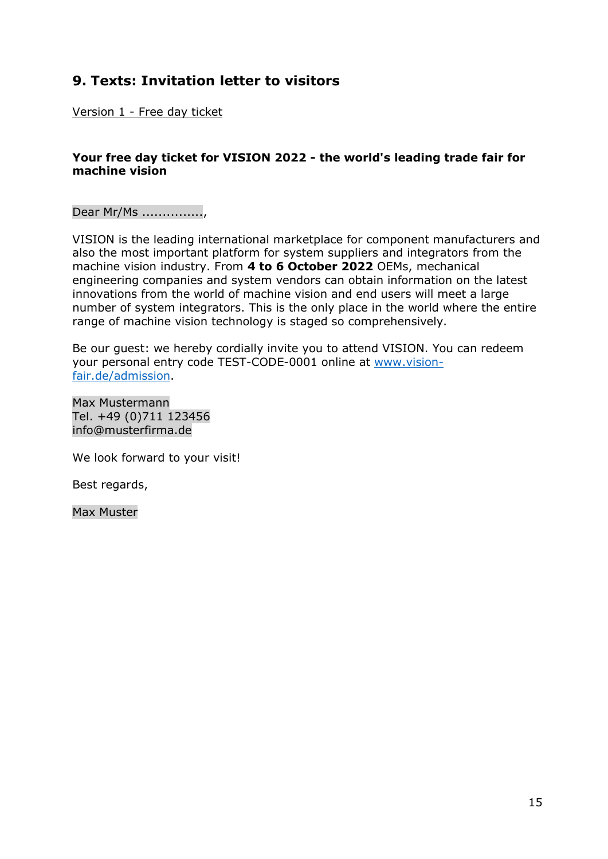# 9. Texts: Invitation letter to visitors

Version 1 - Free day ticket

# Your free day ticket for VISION 2022 - the world's leading trade fair for machine vision

Dear Mr/Ms ...............,

VISION is the leading international marketplace for component manufacturers and also the most important platform for system suppliers and integrators from the machine vision industry. From 4 to 6 October 2022 OEMs, mechanical engineering companies and system vendors can obtain information on the latest innovations from the world of machine vision and end users will meet a large number of system integrators. This is the only place in the world where the entire range of machine vision technology is staged so comprehensively.

Be our guest: we hereby cordially invite you to attend VISION. You can redeem your personal entry code TEST-CODE-0001 online at www.visionfair.de/admission.

Max Mustermann Tel. +49 (0)711 123456 info@musterfirma.de

We look forward to your visit!

Best regards,

Max Muster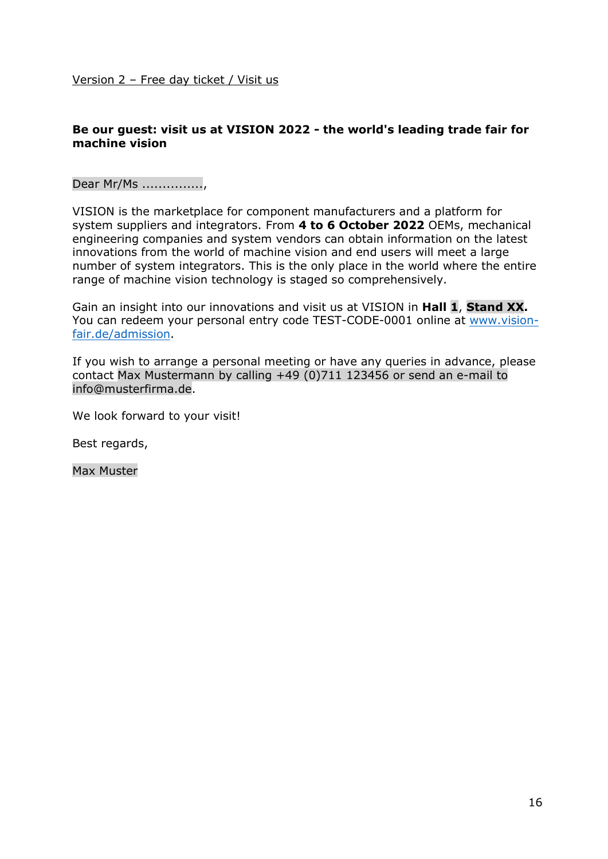# Be our guest: visit us at VISION 2022 - the world's leading trade fair for machine vision

Dear Mr/Ms ...............,

VISION is the marketplace for component manufacturers and a platform for system suppliers and integrators. From 4 to 6 October 2022 OEMs, mechanical engineering companies and system vendors can obtain information on the latest innovations from the world of machine vision and end users will meet a large number of system integrators. This is the only place in the world where the entire range of machine vision technology is staged so comprehensively.

Gain an insight into our innovations and visit us at VISION in Hall 1, Stand XX. You can redeem your personal entry code TEST-CODE-0001 online at www.visionfair.de/admission.

If you wish to arrange a personal meeting or have any queries in advance, please contact Max Mustermann by calling +49 (0)711 123456 or send an e-mail to info@musterfirma.de.

We look forward to your visit!

Best regards,

Max Muster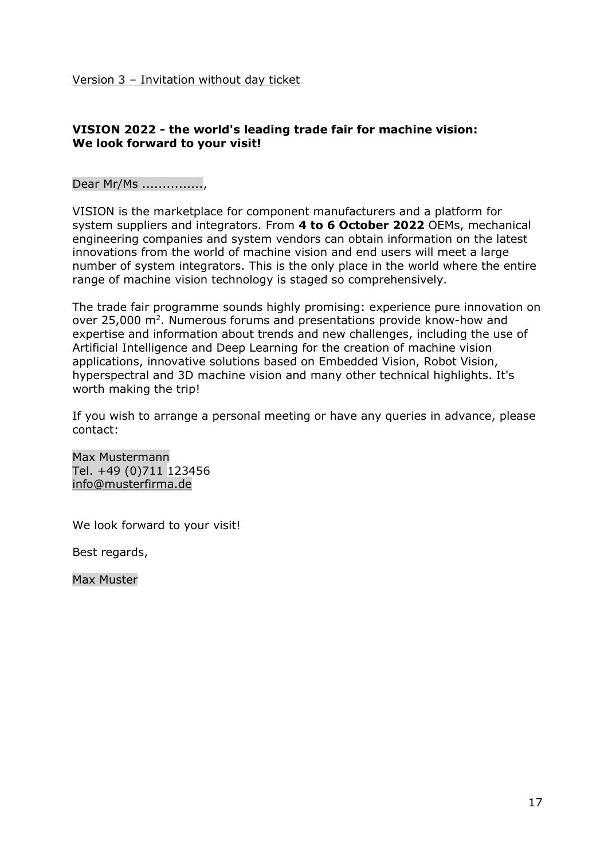# VISION 2022 - the world's leading trade fair for machine vision: We look forward to your visit!

Dear Mr/Ms ...............,

VISION is the marketplace for component manufacturers and a platform for system suppliers and integrators. From 4 to 6 October 2022 OEMs, mechanical engineering companies and system vendors can obtain information on the latest innovations from the world of machine vision and end users will meet a large number of system integrators. This is the only place in the world where the entire range of machine vision technology is staged so comprehensively.

The trade fair programme sounds highly promising: experience pure innovation on over 25,000 m<sup>2</sup>. Numerous forums and presentations provide know-how and expertise and information about trends and new challenges, including the use of Artificial Intelligence and Deep Learning for the creation of machine vision applications, innovative solutions based on Embedded Vision, Robot Vision, hyperspectral and 3D machine vision and many other technical highlights. It's worth making the trip!

If you wish to arrange a personal meeting or have any queries in advance, please contact:

Max Mustermann Tel. +49 (0)711 123456 info@musterfirma.de

We look forward to your visit!

Best regards,

Max Muster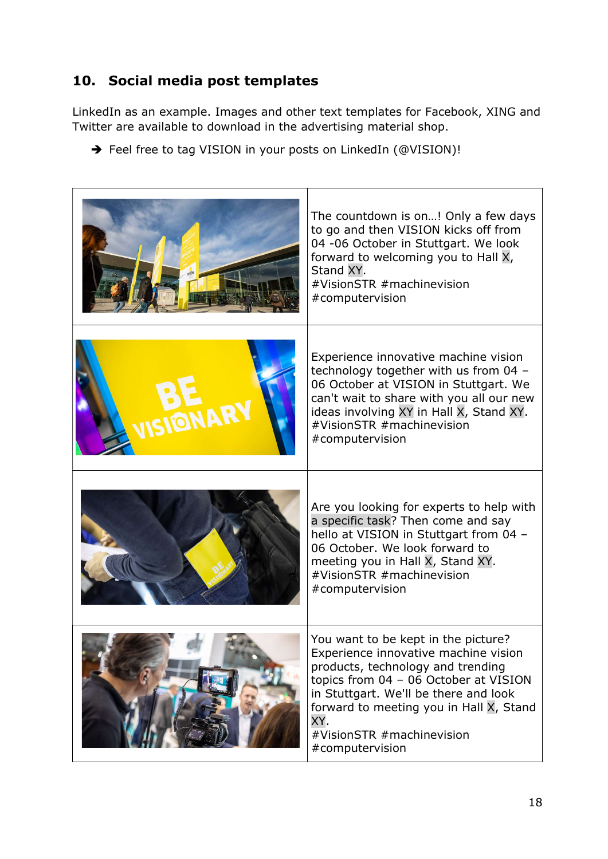# 10. Social media post templates

LinkedIn as an example. Images and other text templates for Facebook, XING and Twitter are available to download in the advertising material shop.

→ Feel free to tag VISION in your posts on LinkedIn (@VISION)!

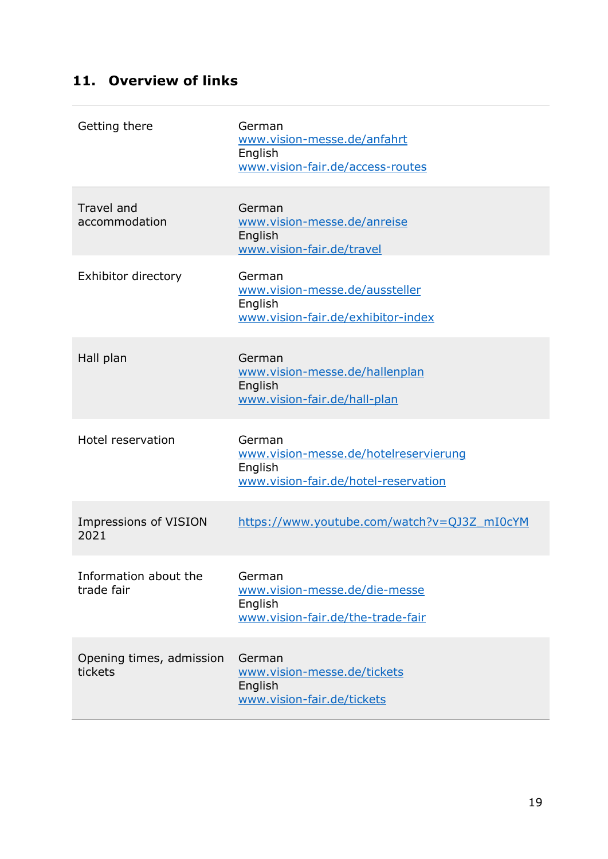# 11. Overview of links

| Getting there                       | German<br>www.vision-messe.de/anfahrt<br>English<br>www.vision-fair.de/access-routes               |
|-------------------------------------|----------------------------------------------------------------------------------------------------|
| <b>Travel and</b><br>accommodation  | German<br>www.vision-messe.de/anreise<br>English<br>www.vision-fair.de/travel                      |
| Exhibitor directory                 | German<br>www.vision-messe.de/aussteller<br>English<br>www.vision-fair.de/exhibitor-index          |
| Hall plan                           | German<br>www.vision-messe.de/hallenplan<br>English<br>www.vision-fair.de/hall-plan                |
| Hotel reservation                   | German<br>www.vision-messe.de/hotelreservierung<br>English<br>www.vision-fair.de/hotel-reservation |
| Impressions of VISION<br>2021       | https://www.youtube.com/watch?v=QJ3Z_mI0cYM                                                        |
| Information about the<br>trade fair | German<br>www.vision-messe.de/die-messe<br>English<br>www.vision-fair.de/the-trade-fair            |
| Opening times, admission<br>tickets | German<br>www.vision-messe.de/tickets<br>English<br>www.vision-fair.de/tickets                     |